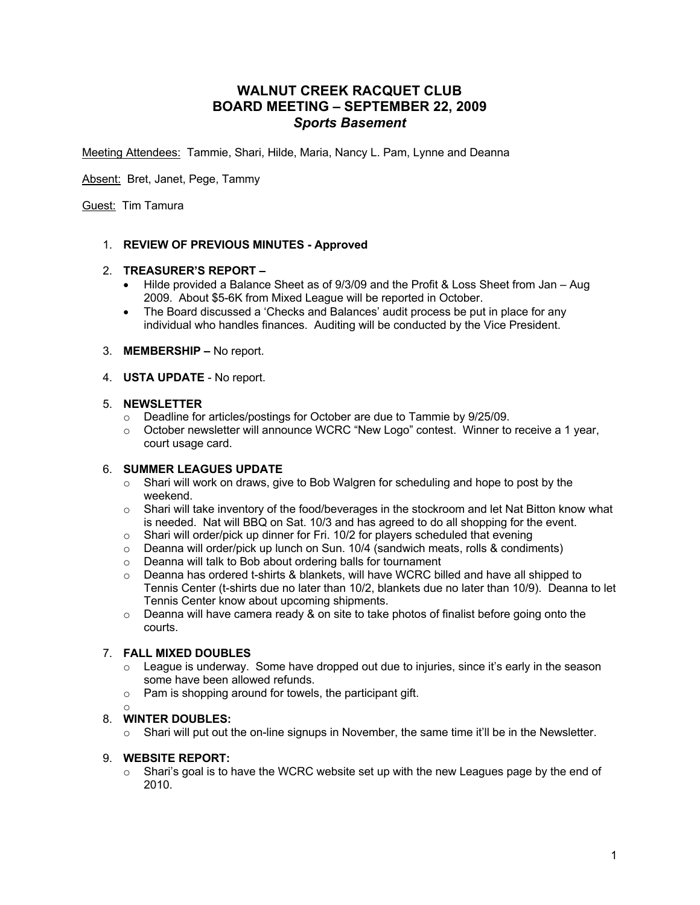# **WALNUT CREEK RACQUET CLUB BOARD MEETING – SEPTEMBER 22, 2009** *Sports Basement*

Meeting Attendees: Tammie, Shari, Hilde, Maria, Nancy L. Pam, Lynne and Deanna

Absent: Bret, Janet, Pege, Tammy

Guest: Tim Tamura

# 1. **REVIEW OF PREVIOUS MINUTES - Approved**

# 2. **TREASURER'S REPORT –**

- Hilde provided a Balance Sheet as of 9/3/09 and the Profit & Loss Sheet from Jan Aug 2009. About \$5-6K from Mixed League will be reported in October.
- The Board discussed a 'Checks and Balances' audit process be put in place for any individual who handles finances. Auditing will be conducted by the Vice President.
- 3. **MEMBERSHIP –** No report.
- 4. **USTA UPDATE** No report.

#### 5. **NEWSLETTER**

- $\circ$  Deadline for articles/postings for October are due to Tammie by 9/25/09.
- $\circ$  October newsletter will announce WCRC "New Logo" contest. Winner to receive a 1 year, court usage card.

# 6. **SUMMER LEAGUES UPDATE**

- $\circ$  Shari will work on draws, give to Bob Walgren for scheduling and hope to post by the weekend.
- $\circ$  Shari will take inventory of the food/beverages in the stockroom and let Nat Bitton know what is needed. Nat will BBQ on Sat. 10/3 and has agreed to do all shopping for the event.
- $\circ$  Shari will order/pick up dinner for Fri. 10/2 for players scheduled that evening
- $\circ$  Deanna will order/pick up lunch on Sun. 10/4 (sandwich meats, rolls & condiments)
- o Deanna will talk to Bob about ordering balls for tournament
- $\circ$  Deanna has ordered t-shirts & blankets, will have WCRC billed and have all shipped to Tennis Center (t-shirts due no later than 10/2, blankets due no later than 10/9). Deanna to let Tennis Center know about upcoming shipments.
- $\circ$  Deanna will have camera ready & on site to take photos of finalist before going onto the courts.

# 7. **FALL MIXED DOUBLES**

- $\circ$  League is underway. Some have dropped out due to injuries, since it's early in the season some have been allowed refunds.
- o Pam is shopping around for towels, the participant gift.
- o

# 8. **WINTER DOUBLES:**

 $\circ$  Shari will put out the on-line signups in November, the same time it'll be in the Newsletter.

# 9. **WEBSITE REPORT:**

 $\circ$  Shari's goal is to have the WCRC website set up with the new Leagues page by the end of 2010.